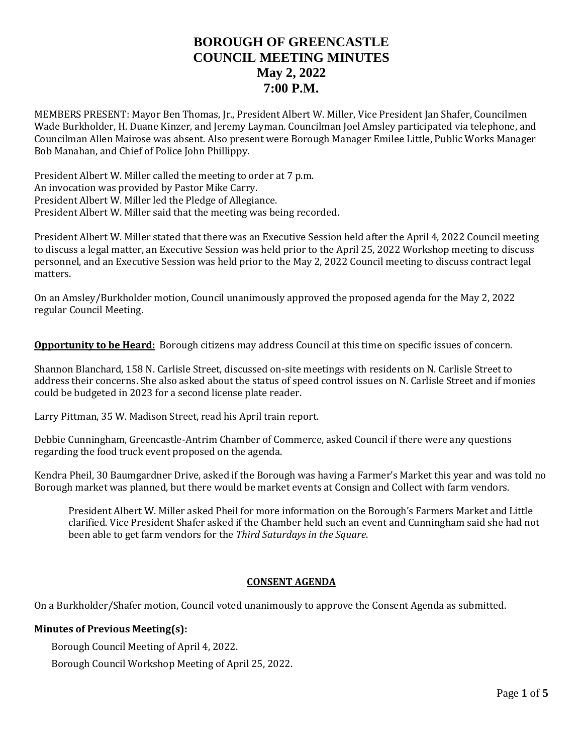# **BOROUGH OF GREENCASTLE COUNCIL MEETING MINUTES May 2, 2022 7:00 P.M.**

MEMBERS PRESENT: Mayor Ben Thomas, Jr., President Albert W. Miller, Vice President Jan Shafer, Councilmen Wade Burkholder, H. Duane Kinzer, and Jeremy Layman. Councilman Joel Amsley participated via telephone, and Councilman Allen Mairose was absent. Also present were Borough Manager Emilee Little, Public Works Manager Bob Manahan, and Chief of Police John Phillippy.

President Albert W. Miller called the meeting to order at 7 p.m. An invocation was provided by Pastor Mike Carry. President Albert W. Miller led the Pledge of Allegiance. President Albert W. Miller said that the meeting was being recorded.

President Albert W. Miller stated that there was an Executive Session held after the April 4, 2022 Council meeting to discuss a legal matter, an Executive Session was held prior to the April 25, 2022 Workshop meeting to discuss personnel, and an Executive Session was held prior to the May 2, 2022 Council meeting to discuss contract legal matters.

On an Amsley/Burkholder motion, Council unanimously approved the proposed agenda for the May 2, 2022 regular Council Meeting.

**Opportunity to be Heard:** Borough citizens may address Council at this time on specific issues of concern.

Shannon Blanchard, 158 N. Carlisle Street, discussed on-site meetings with residents on N. Carlisle Street to address their concerns. She also asked about the status of speed control issues on N. Carlisle Street and if monies could be budgeted in 2023 for a second license plate reader.

Larry Pittman, 35 W. Madison Street, read his April train report.

Debbie Cunningham, Greencastle-Antrim Chamber of Commerce, asked Council if there were any questions regarding the food truck event proposed on the agenda.

Kendra Pheil, 30 Baumgardner Drive, asked if the Borough was having a Farmer's Market this year and was told no Borough market was planned, but there would be market events at Consign and Collect with farm vendors.

President Albert W. Miller asked Pheil for more information on the Borough's Farmers Market and Little clarified. Vice President Shafer asked if the Chamber held such an event and Cunningham said she had not been able to get farm vendors for the *Third Saturdays in the Square*.

# **CONSENT AGENDA**

On a Burkholder/Shafer motion, Council voted unanimously to approve the Consent Agenda as submitted.

#### **Minutes of Previous Meeting(s):**

Borough Council Meeting of April 4, 2022.

Borough Council Workshop Meeting of April 25, 2022.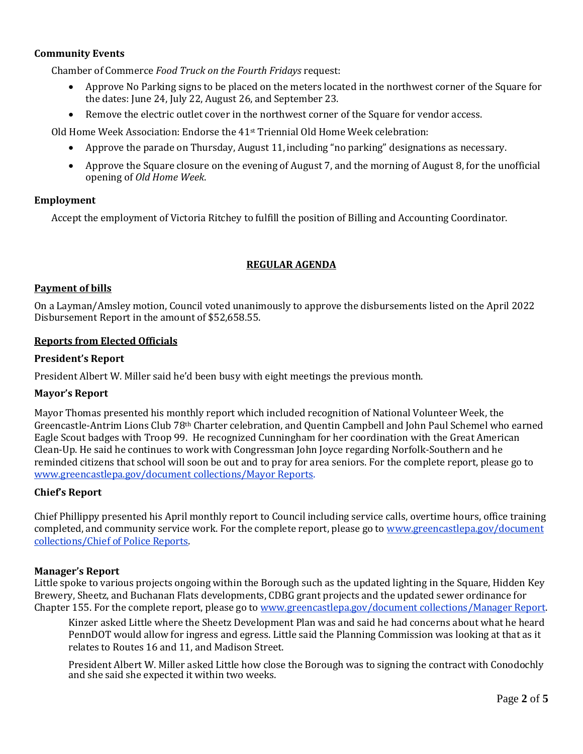## **Community Events**

Chamber of Commerce *Food Truck on the Fourth Fridays* request:

- Approve No Parking signs to be placed on the meters located in the northwest corner of the Square for the dates: June 24, July 22, August 26, and September 23.
- Remove the electric outlet cover in the northwest corner of the Square for vendor access.

Old Home Week Association: Endorse the 41st Triennial Old Home Week celebration:

- Approve the parade on Thursday, August 11, including "no parking" designations as necessary.
- Approve the Square closure on the evening of August 7, and the morning of August 8, for the unofficial opening of *Old Home Week*.

#### **Employment**

Accept the employment of Victoria Ritchey to fulfill the position of Billing and Accounting Coordinator.

### **REGULAR AGENDA**

### **Payment of bills**

On a Layman/Amsley motion, Council voted unanimously to approve the disbursements listed on the April 2022 Disbursement Report in the amount of \$52,658.55.

#### **Reports from Elected Officials**

#### **President's Report**

President Albert W. Miller said he'd been busy with eight meetings the previous month.

#### **Mayor's Report**

Mayor Thomas presented his monthly report which included recognition of National Volunteer Week, the Greencastle-Antrim Lions Club 78th Charter celebration, and Quentin Campbell and John Paul Schemel who earned Eagle Scout badges with Troop 99. He recognized Cunningham for her coordination with the Great American Clean-Up. He said he continues to work with Congressman John Joyce regarding Norfolk-Southern and he reminded citizens that school will soon be out and to pray for area seniors. For the complete report, please go to [www.greencastlepa.gov/document](http://www.greencastlepa.gov/document) collections/Mayor Reports.

# **Chief's Report**

Chief Phillippy presented his April monthly report to Council including service calls, overtime hours, office training completed, and community service work. For the complete report, please go to [www.greencastlepa.gov/document](http://www.greencastlepa.gov/document) collections/Chief of Police Reports.

#### **Manager's Report**

Little spoke to various projects ongoing within the Borough such as the updated lighting in the Square, Hidden Key Brewery, Sheetz, and Buchanan Flats developments, CDBG grant projects and the updated sewer ordinance for Chapter 155. For the complete report, please go t[o www.greencastlepa.gov/document](http://www.greencastlepa.gov/document) collections/Manager Report.

Kinzer asked Little where the Sheetz Development Plan was and said he had concerns about what he heard PennDOT would allow for ingress and egress. Little said the Planning Commission was looking at that as it relates to Routes 16 and 11, and Madison Street.

President Albert W. Miller asked Little how close the Borough was to signing the contract with Conodochly and she said she expected it within two weeks.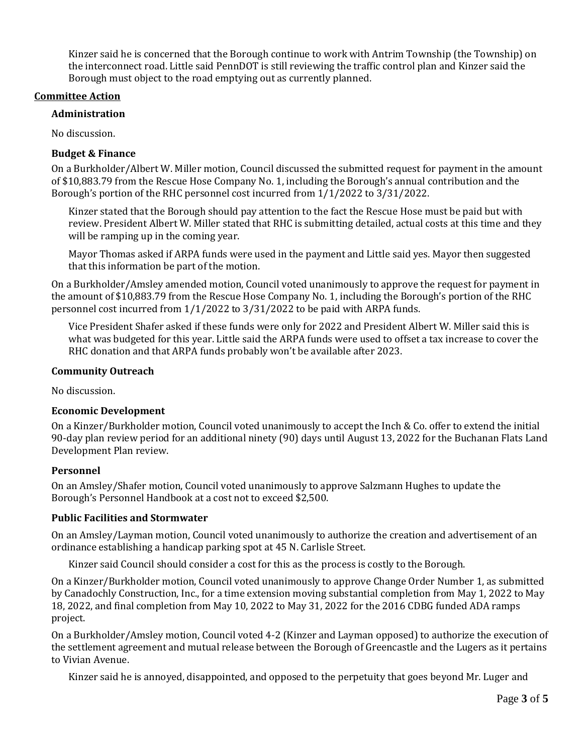Kinzer said he is concerned that the Borough continue to work with Antrim Township (the Township) on the interconnect road. Little said PennDOT is still reviewing the traffic control plan and Kinzer said the Borough must object to the road emptying out as currently planned.

### **Committee Action**

#### **Administration**

No discussion.

## **Budget & Finance**

On a Burkholder/Albert W. Miller motion, Council discussed the submitted request for payment in the amount of \$10,883.79 from the Rescue Hose Company No. 1, including the Borough's annual contribution and the Borough's portion of the RHC personnel cost incurred from 1/1/2022 to 3/31/2022.

Kinzer stated that the Borough should pay attention to the fact the Rescue Hose must be paid but with review. President Albert W. Miller stated that RHC is submitting detailed, actual costs at this time and they will be ramping up in the coming year.

Mayor Thomas asked if ARPA funds were used in the payment and Little said yes. Mayor then suggested that this information be part of the motion.

On a Burkholder/Amsley amended motion, Council voted unanimously to approve the request for payment in the amount of \$10,883.79 from the Rescue Hose Company No. 1, including the Borough's portion of the RHC personnel cost incurred from 1/1/2022 to 3/31/2022 to be paid with ARPA funds.

Vice President Shafer asked if these funds were only for 2022 and President Albert W. Miller said this is what was budgeted for this year. Little said the ARPA funds were used to offset a tax increase to cover the RHC donation and that ARPA funds probably won't be available after 2023.

#### **Community Outreach**

No discussion.

#### **Economic Development**

On a Kinzer/Burkholder motion, Council voted unanimously to accept the Inch & Co. offer to extend the initial 90-day plan review period for an additional ninety (90) days until August 13, 2022 for the Buchanan Flats Land Development Plan review.

#### **Personnel**

On an Amsley/Shafer motion, Council voted unanimously to approve Salzmann Hughes to update the Borough's Personnel Handbook at a cost not to exceed \$2,500.

#### **Public Facilities and Stormwater**

On an Amsley/Layman motion, Council voted unanimously to authorize the creation and advertisement of an ordinance establishing a handicap parking spot at 45 N. Carlisle Street.

Kinzer said Council should consider a cost for this as the process is costly to the Borough.

On a Kinzer/Burkholder motion, Council voted unanimously to approve Change Order Number 1, as submitted by Canadochly Construction, Inc., for a time extension moving substantial completion from May 1, 2022 to May 18, 2022, and final completion from May 10, 2022 to May 31, 2022 for the 2016 CDBG funded ADA ramps project.

On a Burkholder/Amsley motion, Council voted 4-2 (Kinzer and Layman opposed) to authorize the execution of the settlement agreement and mutual release between the Borough of Greencastle and the Lugers as it pertains to Vivian Avenue.

Kinzer said he is annoyed, disappointed, and opposed to the perpetuity that goes beyond Mr. Luger and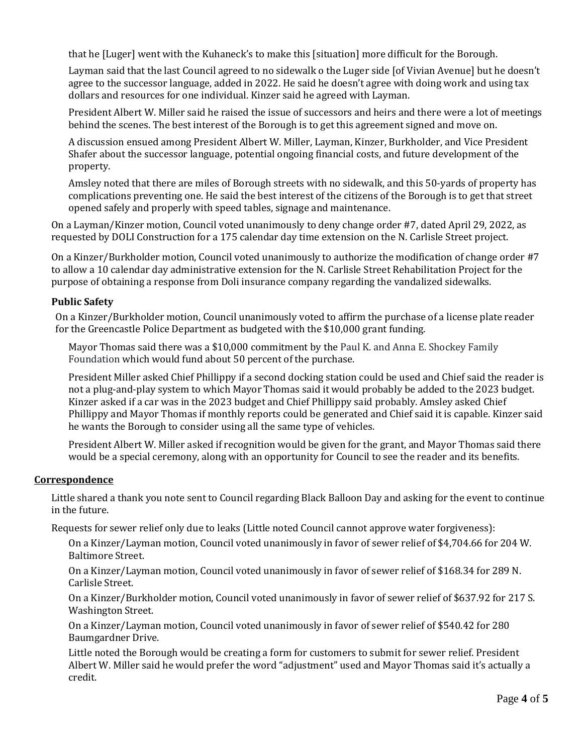that he [Luger] went with the Kuhaneck's to make this [situation] more difficult for the Borough.

Layman said that the last Council agreed to no sidewalk o the Luger side [of Vivian Avenue] but he doesn't agree to the successor language, added in 2022. He said he doesn't agree with doing work and using tax dollars and resources for one individual. Kinzer said he agreed with Layman.

President Albert W. Miller said he raised the issue of successors and heirs and there were a lot of meetings behind the scenes. The best interest of the Borough is to get this agreement signed and move on.

A discussion ensued among President Albert W. Miller, Layman, Kinzer, Burkholder, and Vice President Shafer about the successor language, potential ongoing financial costs, and future development of the property.

Amsley noted that there are miles of Borough streets with no sidewalk, and this 50-yards of property has complications preventing one. He said the best interest of the citizens of the Borough is to get that street opened safely and properly with speed tables, signage and maintenance.

On a Layman/Kinzer motion, Council voted unanimously to deny change order #7, dated April 29, 2022, as requested by DOLI Construction for a 175 calendar day time extension on the N. Carlisle Street project.

On a Kinzer/Burkholder motion, Council voted unanimously to authorize the modification of change order #7 to allow a 10 calendar day administrative extension for the N. Carlisle Street Rehabilitation Project for the purpose of obtaining a response from Doli insurance company regarding the vandalized sidewalks.

# **Public Safety**

On a Kinzer/Burkholder motion, Council unanimously voted to affirm the purchase of a license plate reader for the Greencastle Police Department as budgeted with the \$10,000 grant funding.

Mayor Thomas said there was a \$10,000 commitment by the Paul K. and Anna E. Shockey Family Foundation which would fund about 50 percent of the purchase.

President Miller asked Chief Phillippy if a second docking station could be used and Chief said the reader is not a plug-and-play system to which Mayor Thomas said it would probably be added to the 2023 budget. Kinzer asked if a car was in the 2023 budget and Chief Phillippy said probably. Amsley asked Chief Phillippy and Mayor Thomas if monthly reports could be generated and Chief said it is capable. Kinzer said he wants the Borough to consider using all the same type of vehicles.

President Albert W. Miller asked if recognition would be given for the grant, and Mayor Thomas said there would be a special ceremony, along with an opportunity for Council to see the reader and its benefits.

#### **Correspondence**

Little shared a thank you note sent to Council regarding Black Balloon Day and asking for the event to continue in the future.

Requests for sewer relief only due to leaks (Little noted Council cannot approve water forgiveness):

On a Kinzer/Layman motion, Council voted unanimously in favor of sewer relief of \$4,704.66 for 204 W. Baltimore Street.

On a Kinzer/Layman motion, Council voted unanimously in favor of sewer relief of \$168.34 for 289 N. Carlisle Street.

On a Kinzer/Burkholder motion, Council voted unanimously in favor of sewer relief of \$637.92 for 217 S. Washington Street.

On a Kinzer/Layman motion, Council voted unanimously in favor of sewer relief of \$540.42 for 280 Baumgardner Drive.

Little noted the Borough would be creating a form for customers to submit for sewer relief. President Albert W. Miller said he would prefer the word "adjustment" used and Mayor Thomas said it's actually a credit.